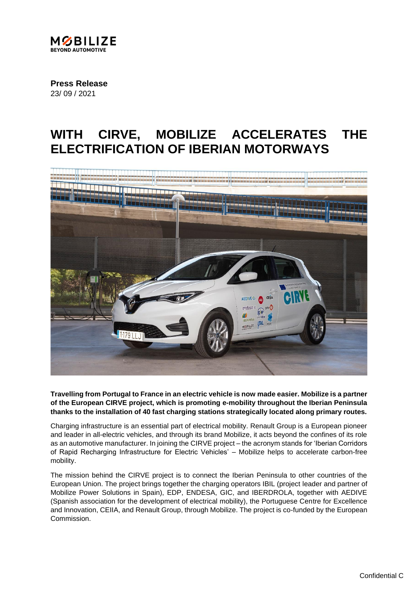

**Press Release** 23/ 09 / 2021

## **WITH CIRVE, MOBILIZE ACCELERATES THE ELECTRIFICATION OF IBERIAN MOTORWAYS**



**Travelling from Portugal to France in an electric vehicle is now made easier. Mobilize is a partner of the European CIRVE project, which is promoting e-mobility throughout the Iberian Peninsula thanks to the installation of 40 fast charging stations strategically located along primary routes.** 

Charging infrastructure is an essential part of electrical mobility. Renault Group is a European pioneer and leader in all-electric vehicles, and through its brand Mobilize, it acts beyond the confines of its role as an automotive manufacturer. In joining the CIRVE project – the acronym stands for 'Iberian Corridors of Rapid Recharging Infrastructure for Electric Vehicles' – Mobilize helps to accelerate carbon-free mobility.

The mission behind the CIRVE project is to connect the Iberian Peninsula to other countries of the European Union. The project brings together the charging operators IBIL (project leader and partner of Mobilize Power Solutions in Spain), EDP, ENDESA, GIC, and IBERDROLA, together with AEDIVE (Spanish association for the development of electrical mobility), the Portuguese Centre for Excellence and Innovation, CEIIA, and Renault Group, through Mobilize. The project is co-funded by the European Commission.